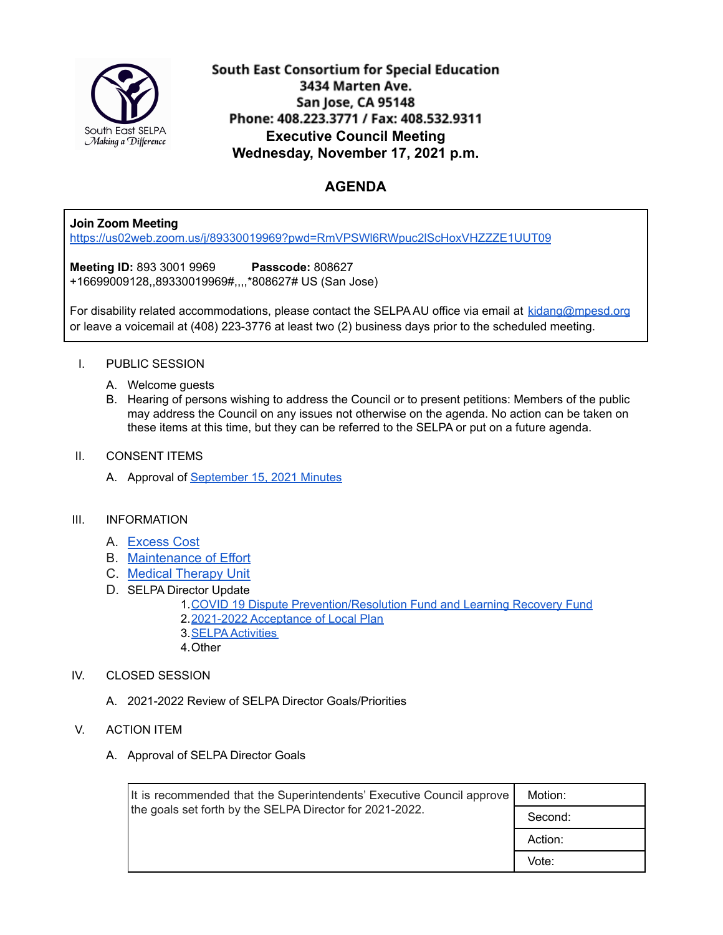

South East Consortium for Special Education 3434 Marten Ave. San Jose, CA 95148 Phone: 408.223.3771 / Fax: 408.532.9311 **Executive Council Meeting Wednesday, November 17, 2021 p.m.**

# **AGENDA**

### **Join Zoom Meeting**

<https://us02web.zoom.us/j/89330019969?pwd=RmVPSWl6RWpuc2lScHoxVHZZZE1UUT09>

**Meeting ID:** 893 3001 9969 **Passcode:** 808627 +16699009128,,89330019969#,,,,\*808627# US (San Jose)

For disability related accommodations, please contact the SELPA AU office via email at [kidang@mpesd.org](mailto:kidang@mpesd.org) or leave a voicemail at (408) 223-3776 at least two (2) business days prior to the scheduled meeting.

#### I. PUBLIC SESSION

- A. Welcome guests
- B. Hearing of persons wishing to address the Council or to present petitions: Members of the public may address the Council on any issues not otherwise on the agenda. No action can be taken on these items at this time, but they can be referred to the SELPA or put on a future agenda.
- II. CONSENT ITEMS
	- A. Approval of [September](https://docs.google.com/document/d/1bSJDekk6HvBpseJ3Z_UL8oAGg9_GJguEztEl6MPkr24/edit?usp=sharing) 15, 2021 Minutes

#### III. INFORMATION

- A. [Excess](https://docs.google.com/document/d/1n88xVIVWfdXY11CzzzvWnDLa1a89sw9DRCk0zC8Ljls/edit?usp=sharing) Cost
- B. [Maintenance](https://docs.google.com/document/d/1TORgtmTxC1UC_YTmlUvVCoqwWtIPMZbfb0JyfEpQ3r4/edit?usp=sharing) of Effort
- C. Medical [Therapy](https://docs.google.com/document/d/1P-zS4jsOowi8ijs_UlPE39mIsDVtmuFIDdvXnIS3XKg/edit?usp=sharing) Unit
- D. SELPA Director Update
	- 1.COVID 19 Dispute [Prevention/Resolution](https://docs.google.com/document/d/1t5cj_kCvSKnl_hHY1jrg5bdlpWPY4K-1VriH7y3To0k/edit?usp=sharing) Fund and Learning Recovery Fund
	- 2.2021-2022 [Acceptance](https://drive.google.com/file/d/15GcQwklzkWgPT-oX08pD9Oqew9RGY46X/view?usp=sharing) of Local Plan
	- 3.SELPA [Activities](https://docs.google.com/document/d/1TION32BgwDehCLsHGdIcDG3_0wZMiu8LIUVnlyU_-BE/edit?usp=sharing)
	- 4.Other

### IV. CLOSED SESSION

- A. 2021-2022 Review of SELPA Director Goals/Priorities
- V. ACTION ITEM
	- A. Approval of SELPA Director Goals

| It is recommended that the Superintendents' Executive Council approve<br>the goals set forth by the SELPA Director for 2021-2022. | Motion: |
|-----------------------------------------------------------------------------------------------------------------------------------|---------|
|                                                                                                                                   | Second: |
|                                                                                                                                   | Action: |
|                                                                                                                                   | Vote:   |